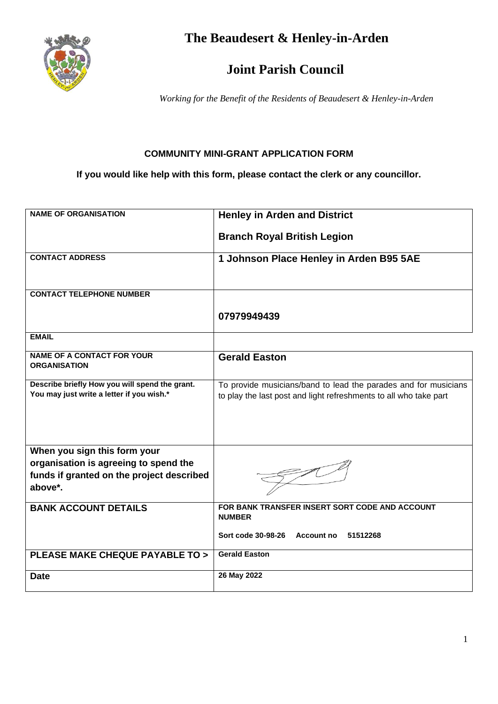

**The Beaudesert & Henley-in-Arden**

## **Joint Parish Council**

*Working for the Benefit of the Residents of Beaudesert & Henley-in-Arden*

## **COMMUNITY MINI-GRANT APPLICATION FORM**

**If you would like help with this form, please contact the clerk or any councillor.**

| <b>NAME OF ORGANISATION</b>                                                                                                   | <b>Henley in Arden and District</b>                                                                                                  |
|-------------------------------------------------------------------------------------------------------------------------------|--------------------------------------------------------------------------------------------------------------------------------------|
|                                                                                                                               | <b>Branch Royal British Legion</b>                                                                                                   |
| <b>CONTACT ADDRESS</b>                                                                                                        | 1 Johnson Place Henley in Arden B95 5AE                                                                                              |
| <b>CONTACT TELEPHONE NUMBER</b>                                                                                               |                                                                                                                                      |
|                                                                                                                               | 07979949439                                                                                                                          |
| <b>EMAIL</b>                                                                                                                  |                                                                                                                                      |
| <b>NAME OF A CONTACT FOR YOUR</b><br><b>ORGANISATION</b>                                                                      | <b>Gerald Easton</b>                                                                                                                 |
| Describe briefly How you will spend the grant.<br>You may just write a letter if you wish.*                                   | To provide musicians/band to lead the parades and for musicians<br>to play the last post and light refreshments to all who take part |
| When you sign this form your<br>organisation is agreeing to spend the<br>funds if granted on the project described<br>above*. |                                                                                                                                      |
| <b>BANK ACCOUNT DETAILS</b>                                                                                                   | FOR BANK TRANSFER INSERT SORT CODE AND ACCOUNT<br><b>NUMBER</b>                                                                      |
|                                                                                                                               | Sort code 30-98-26 Account no<br>51512268                                                                                            |
| <b>PLEASE MAKE CHEQUE PAYABLE TO &gt;</b>                                                                                     | <b>Gerald Easton</b>                                                                                                                 |
| <b>Date</b>                                                                                                                   | 26 May 2022                                                                                                                          |